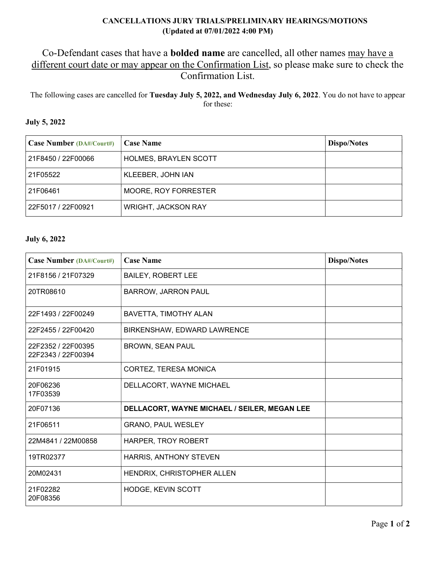## CANCELLATIONS JURY TRIALS/PRELIMINARY HEARINGS/MOTIONS (Updated at 07/01/2022 4:00 PM)

## Co-Defendant cases that have a bolded name are cancelled, all other names may have a different court date or may appear on the Confirmation List, so please make sure to check the Confirmation List.

The following cases are cancelled for Tuesday July 5, 2022, and Wednesday July 6, 2022. You do not have to appear for these:

## July 5, 2022

| <b>Case Number (DA#/Court#)</b> | <b>Case Name</b>             | <b>Dispo/Notes</b> |
|---------------------------------|------------------------------|--------------------|
| 21F8450 / 22F00066              | <b>HOLMES, BRAYLEN SCOTT</b> |                    |
| 21F05522                        | KLEEBER, JOHN IAN            |                    |
| 21F06461                        | <b>MOORE, ROY FORRESTER</b>  |                    |
| 22F5017 / 22F00921              | <b>WRIGHT, JACKSON RAY</b>   |                    |

## July 6, 2022

| <b>Case Number (DA#/Court#)</b>          | <b>Case Name</b>                             | <b>Dispo/Notes</b> |
|------------------------------------------|----------------------------------------------|--------------------|
| 21F8156 / 21F07329                       | <b>BAILEY, ROBERT LEE</b>                    |                    |
| 20TR08610                                | <b>BARROW, JARRON PAUL</b>                   |                    |
| 22F1493 / 22F00249                       | BAVETTA, TIMOTHY ALAN                        |                    |
| 22F2455 / 22F00420                       | BIRKENSHAW, EDWARD LAWRENCE                  |                    |
| 22F2352 / 22F00395<br>22F2343 / 22F00394 | BROWN, SEAN PAUL                             |                    |
| 21F01915                                 | <b>CORTEZ, TERESA MONICA</b>                 |                    |
| 20F06236<br>17F03539                     | DELLACORT, WAYNE MICHAEL                     |                    |
| 20F07136                                 | DELLACORT, WAYNE MICHAEL / SEILER, MEGAN LEE |                    |
| 21F06511                                 | <b>GRANO, PAUL WESLEY</b>                    |                    |
| 22M4841 / 22M00858                       | <b>HARPER, TROY ROBERT</b>                   |                    |
| 19TR02377                                | HARRIS, ANTHONY STEVEN                       |                    |
| 20M02431                                 | HENDRIX, CHRISTOPHER ALLEN                   |                    |
| 21F02282<br>20F08356                     | HODGE, KEVIN SCOTT                           |                    |